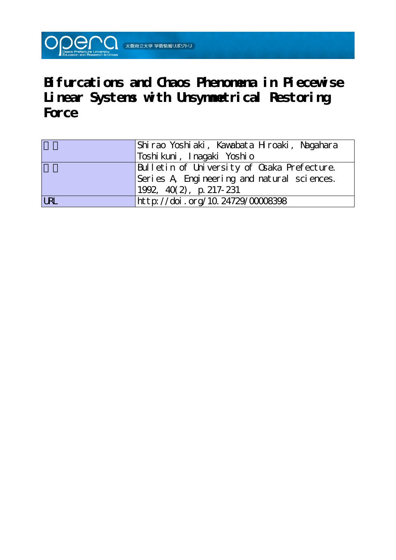

**Bifurcations and Chaos Phenomena in Piecewise Linear Systems with Unsymmetrical Restoring Force**

|            | Shirao Yoshiaki, Kawabata Hroaki, Nagahara  |
|------------|---------------------------------------------|
|            | Toshi kuni ,  I nagaki   Yoshi o            |
|            | Bulletin of University of Osaka Prefecture. |
|            | Series A Engineering and natural sciences.  |
|            | $1992, 40(2)$ , p. 217-231                  |
| <b>LRL</b> | http://doi.org/10.24729/00008398            |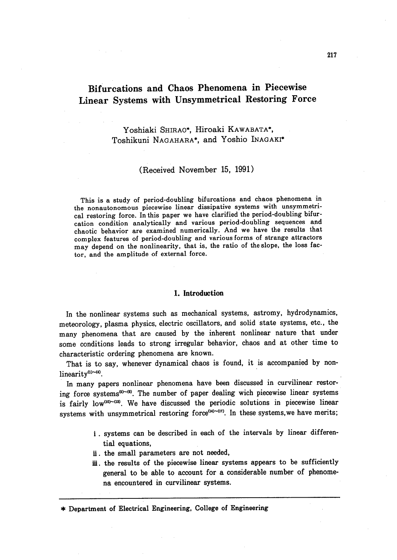# Bifurcations and Chaos Phenomena in Pieeewise Linear Systems with Unsymmetrical Restoring Force

## Yoshiaki SHIRAO\*, Hiroaki KAWABATA\*, Toshikuni NAGAHARA', and Yoshio INAGAKi'

#### (Received November 15, 1991)

 This is a study of period-doubling bifurcations and chaos phenomena in the nonautonomous piecewise linear dissipative systems with unsymmetrical restoring force. In this paper we have clarified the period-doubling bifurcation condition analytically and various period-doubling sequences and chaotic behavior are examined numerically. And we have the results that complex features of period-doubling and various forms of strange attractors may depend on the noniinearity, that is, the ratio of theslope, the loss factor, and the amplitude of external force.

#### 1. Introduction

 In the nonlinear systems such as mechanical systems, astromy, hydrodynamics, meteorology, plasma physics, electric oscillators, and solid state systems, etc., the many phenomena that are caused by the inherent nonlinear nature that under some conditions leads to strong irregular behavior, chaos and at other time to characteristic ordering phenomena are known.

That is to say, whenever dynamical chaos is found, it is accompanied by nonlinearity<sup>(1)~(4)</sup>.

 In many papers nonlinear phenomena have been discussed in curvilinear restoring force systems<sup> $(6)$ - $(9)$ </sup>. The number of paper dealing wich piecewise linear systems is fairly low<sup>(10)~(13)</sup>. We have discussed the periodic solutions in piecewise linear systems with unsymmetrical restoring force $(4)$ - $(4)$ . In these systems, we have merits;

- i. systems can be described in eaeh of the intervals by linear differen tial equations,
- li. the smal1 parameters are not needed,
- iii. the results of the piecewise linear systems appears to be sufficiently general to be able to account for a considerable number of phenomena encountered in curvilinear systems. '

\* Department ef Electrical Engineering, College of Engineering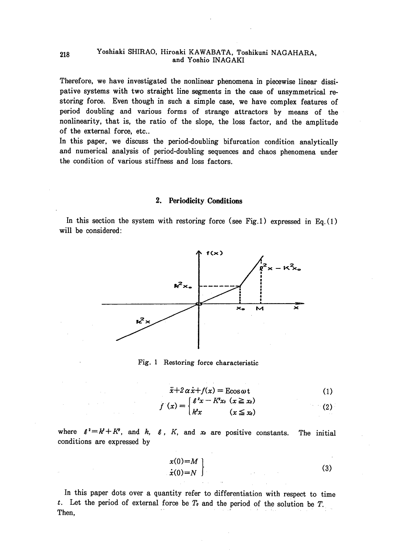#### Yoshiaki SHIRAO, Hiroaki KAWABATA, Toshikuni NAGAHARA, and Yoshio INAGAKI

Therefore, we have investigated the nonlinear phenomena in piecewise linear dissipative systems with two straight line segments in the case of unsymmetrical restoring force. Even though in such a simple case, we have complex features of period doubling and various forms of strange attractors by means of the nonlinearity, that is, the ratio of the slope, the loss factor, and the amplitude of the external force, etc..

In this paper, we discuss the period-doubling bifurcation condition analytically and numerical analysis of period-doubling sequences and chaos phenomena under the condition of various stiffness and loss factors.

#### 2. Periodicity Conditions

In this section the system with restoring force (see Fig.1) expressed in Eq.  $(1)$ will be considered:



Fig. 1 Restoring force characteristic

 $\mathbf{r}$ 

$$
\ddot{x} + 2\alpha \dot{x} + f(x) = \text{E}\cos \omega t \tag{1}
$$

$$
f(x) = \begin{cases} e^x - Kx_0 & (x \leq x_0) \\ k^2x & (x \leq x_0) \end{cases}
$$
 (2)

where  $l^2 = k^2 + K^2$ , and k, l, K, and x are positive constants. The initial conditions are expressed by

$$
\begin{aligned}\n x(0) &= M \\
\dot{x}(0) &= N\n \end{aligned}\n \tag{3}
$$

In this paper dots over a quantity refer to differentiation with respect to time t. Let the period of external force be  $T<sub>e</sub>$  and the period of the solution be  $T$ . Then,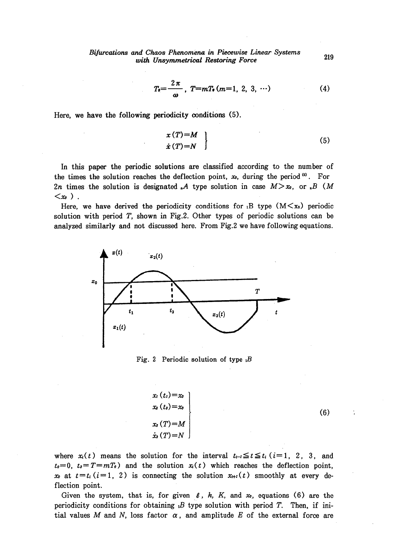Bifurcations and Chaos Phenomena in Piecewise Linear Systems nd Chaos I henometrical Restoring Force<br>with Unsymmetrical Restoring Force

$$
T_{e} = \frac{2\pi}{\omega}, \ T = mT_{e}(m=1, 2, 3, \cdots) \tag{4}
$$

Here, we have the following periodicity conditions (5).

$$
\begin{array}{c}\n x(T)=M \\
\dot{x}(T)=N\n \end{array}
$$
\n(5)

 In this paper the periodic solutions are classified according to the number of the times the solution reaches the deflection point,  $x_0$ , during the period  $^{(6)}$ . For 2n times the solution is designated  $\mathcal{A}$  type solution in case  $M > x_0$ , or  $\mathcal{A}$  (M  $\langle x_{\theta} \rangle$  .

Here, we have derived the periodicity conditions for B type  $(M \le x_0)$  periodic solution with period  $T$ , shown in Fig.2. Other types of periodic solutions can be analyzed similarly and not discussed here. From Fig.2 we have following equations.



Fig. 2 Periodic solution of type  $B$ 

$$
x_i(t_1)=x_0
$$
  
\n
$$
x_3(t_2)=x_0
$$
  
\n
$$
x_3(T)=M
$$
  
\n
$$
\dot{x}_3(T)=N
$$

(6)

 $\ddot{\cdot}$ 

where  $x(t)$  means the solution for the interval  $t_{t-1} \le t \le t_i$  ( $i=1, 2, 3$ , and  $t_0 = 0$ ,  $t_3 = T = mT_0$ ) and the solution  $x_i(t)$  which reaches the deflection point, x<sub>i</sub> at  $t=t_i$  (i=1, 2) is connecting the solution  $x_{i+1}(t)$  smoothly at every deflection point.

Given the system, that is, for given  $\ell$ , k, K, and  $x_0$ , equations (6) are the periodicity conditions for obtaining  $\beta$  type solution with period T. Then, if initial values M and N, loss factor  $\alpha$ , and amplitude E of the external force are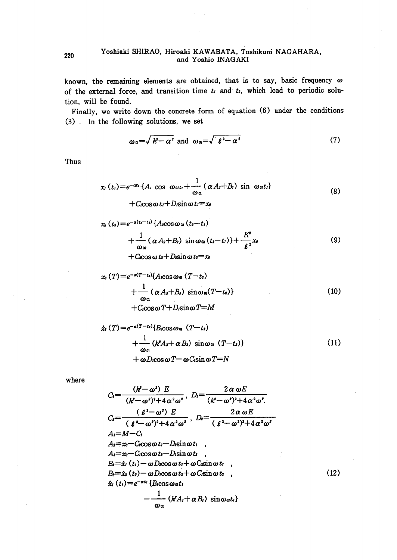#### Yoshiaki SHIRAO, Hiroaki KAWABATA, Toshikuni NAGAHARA, and Yoshio INAGAKI

known, the remaining elements are obtained, that is to say, basic frequency  $\omega$ of the external force, and transition time  $t_i$  and  $t_i$ , which lead to periodic solution, will be found.

Finally, we write down the concrete form of equation (6) under the conditions (3). In the following solutions, we set

$$
\omega_{\mathfrak{a}} = \sqrt{k^2 - \alpha^2} \text{ and } \omega_{\mathfrak{a}} = \sqrt{k^2 - \alpha^2} \tag{7}
$$

Thus

$$
x_i(t_i) = e^{-\alpha t_i} \{A_i \cos \omega_{\alpha t_i} + \frac{1}{\omega_{\alpha t}} (\alpha A_i + B_i) \sin \omega_{\alpha t_i}\} + C_{\alpha \cos \alpha t_i} + D_{\beta \sin \alpha t_i} = x_0
$$
\n(8)

$$
x_{i}(t_{i})=e^{-a(t_{i}-t_{i})}\left\{A_{i}\cos\omega_{\alpha}\left(t_{i}-t_{i}\right)\right.\newline+\left.\frac{1}{\omega_{\alpha}}\left(\alpha A_{i}+B_{i}\right)\sin\omega_{\alpha}\left(t_{i}-t_{i}\right)\right\}+\frac{K^{2}}{\ell^{2}}x_{i}\newline+\left C\cos\omega t_{i}+D\sin\omega t_{i}=x_{i}\right)
$$
\n(9)

$$
x_s(T) = e^{-a(T-t_s)} \{A_{s} \cos \omega_{\alpha} (T-t_s) + \frac{1}{\omega_{\alpha}} (\alpha A_s + B_s) \sin \omega_{\alpha} (T-t_s) \}
$$
  
+  $C_{s} \cos \omega T + D_{s} \sin \omega T = M$  (10)

$$
\dot{x}_s(T) = e^{-a(T-t_s)} \{B_s \cos \omega_{\alpha} (T-t_s) + \frac{1}{\omega_{\alpha}} (k^2 A_s + \alpha B_s) \sin \omega_{\alpha} (T-t_s) \}
$$
\n
$$
+ \omega D_s \cos \omega T - \omega C_s \sin \omega T = N
$$
\n(11)

where

$$
C_{i} = \frac{(k^{2} - \omega^{2}) E}{(k^{2} - \omega^{2})^{2} + 4\alpha^{2}\omega^{2}}, \ D_{i} = \frac{2\alpha \omega E}{(k^{2} - \omega^{2})^{2} + 4\alpha^{2}\omega^{2}}.
$$
  
\n
$$
C_{i} = \frac{(\ell^{2} - \omega^{2}) E}{(\ell^{2} - \omega^{2})^{2} + 4\alpha^{2}\omega^{2}}, \ D_{i} = \frac{2\alpha \omega E}{(\ell^{2} - \omega^{2})^{2} + 4\alpha^{2}\omega^{2}}
$$
  
\n $A_{i} = M - C_{i}$   
\n $A_{i} = x_{0} - C_{i}\cos \omega t_{i} - D_{i}\sin \omega t_{i}$   
\n $A_{i} = x_{0} - C_{i}\cos \omega t_{i} - D_{i}\sin \omega t_{i}$   
\n $A_{i} = x_{i} - C_{i}\cos \omega t_{i} - D_{i}\sin \omega t_{i}$   
\n $B_{i} = \dot{x}_{i} (t_{i}) - \omega D_{i}\cos \omega t_{i} + \omega C_{i}\sin \omega t_{i}$   
\n $\dot{x}_{i} (t_{i}) = e^{-\alpha t_{i}} \{B_{i}\cos \omega \omega t_{i}$   
\n $-\frac{1}{\omega_{\alpha}} (k^{2}A_{i} + \alpha B_{i}) \sin \omega \omega t_{i} \}$ 

 $(12)$ 

220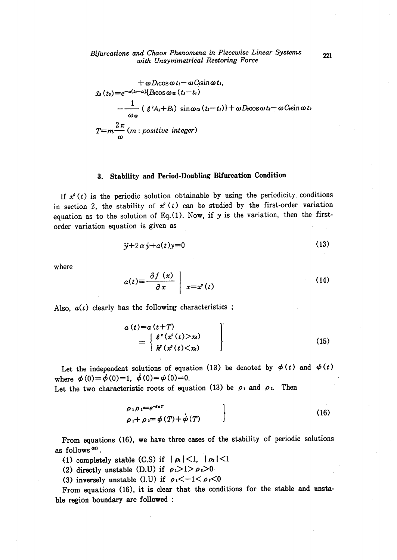$$
+ \omega D_{\text{cOS}} \omega t_{l} - \omega C_{\text{c}} \omega t_{l},
$$
  
\n
$$
\dot{x}_{2}(t_{2}) = e^{-\alpha (t_{2} - t_{1})} \left\{ B_{\text{cOS}} \omega_{\alpha} (t_{2} - t_{1}) - \frac{1}{\omega_{\alpha}} \left( \ell^{2} A_{2} + B_{2} \right) \sin \omega_{\alpha} (t_{2} - t_{1}) \right\} + \omega D_{\text{cOS}} \omega t_{2} - \omega C_{\text{c}} \sin \omega t_{2}
$$
  
\n
$$
T = m \frac{2 \pi}{\omega} (m : positive integer)
$$

## 3. Stability and Period-Doubling Bifurcation Condition

If  $x^{\rho}(t)$  is the periodic solution obtainable by using the periodicity conditions in section 2, the stability of  $x^{\rho}(t)$  can be studied by the first-order variation equation as to the solution of Eq. (1). Now, if  $y$  is the variation, then the firstorder variation equation is given as

$$
\ddot{y} + 2\alpha \dot{y} + a(t)y = 0 \tag{13}
$$

where

$$
a(t) \equiv \frac{\partial f(x)}{\partial x} \mid x = x^{\rho}(t) \tag{14}
$$

Also,  $a(t)$  clearly has the following characteristics;

$$
a(t)=a(t+T)
$$
  
= 
$$
\begin{cases} \ell^{2}(x^{\rho}(t)>x_{0}) \\ k^{2}(x^{\rho}(t) (15)
$$

Let the independent solutions of equation (13) be denoted by  $\phi(t)$  and  $\phi(t)$ where  $\phi(0) = \dot{\phi}(0) = 1$ ,  $\dot{\phi}(0) = \phi(0) = 0$ .

Let the two characteristic roots of equation (13) be  $\rho_1$  and  $\rho_2$ . Then

$$
\rho_1 \rho_2 = e^{-2\alpha T}
$$
  
\n
$$
\rho_1 + \rho_2 = \phi(T) + \phi(T)
$$
\n(16)

From equations (16), we have three cases of the stability of periodic solutions as follows<sup>(18)</sup>.

(1) completely stable (C.S) if  $|\rho_1|<1$ ,  $|\rho_2|<1$ 

(2) directly unstable (D.U) if  $\rho_1 > 1 > \rho_2 > 0$ 

(3) inversely unstable (I.U) if  $\rho_1 < -1 < \rho_2 < 0$ 

From equations (16), it is clear that the conditions for the stable and unstable region boundary are followed :

221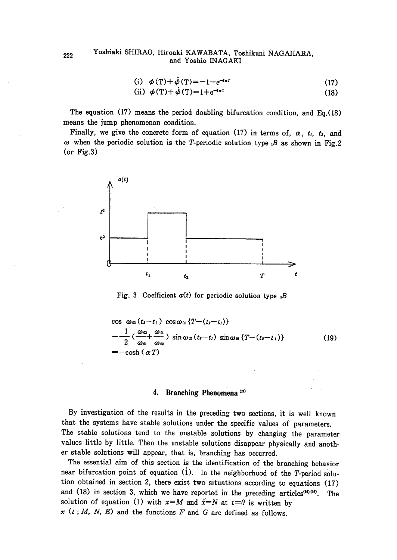### 222 Yoshiaki SHIRAO, Hiroaki KAWABATA, Toshikuni NAGAHARA, and Yoshio INAGAKI

(i) 
$$
\phi(T)+\dot{\phi}(T)=-1-e^{-i\alpha T}
$$
 (17)  
(ii)  $\phi(T)+\dot{\phi}(T)=1+e^{-i\alpha T}$  (18)

$$
(ii) \phi(T) + \phi(T) = 1 + e^{-2\alpha T} \tag{18}
$$

The equation  $(17)$  means the period doubling bifurcation condition, and Eq. (18) means the jump phenomenon condition.

Finally, we give the concrete form of equation (17) in terms of,  $\alpha$ ,  $t_i$ ,  $t_j$ , and  $\omega$  when the periodic solution is the T-periodic solution type  $\beta$  as shown in Fig.2 (or Fig.3)



Fig. 3 Coefficient  $a(t)$  for periodic solution type  $B$ 

$$
\cos \omega_{\alpha}(t_{s}-t_{1}) \cos \omega_{\alpha} \{T-(t_{s}-t_{l})\}
$$
\n
$$
-\frac{1}{2} \left(\frac{\omega_{\alpha}}{\omega_{\alpha}} + \frac{\omega_{\alpha}}{\omega_{\alpha}}\right) \sin \omega_{\alpha}(t_{s}-t_{l}) \sin \omega_{\alpha} \{T-(t_{s}-t_{1})\}
$$
\n
$$
= -\cosh(\alpha T) \qquad (19)
$$

#### 4. Branching Phenomena<sup>(18)</sup>

 By investigation of the results in the preceding two sections, it is well known that the systems have stable solutions under the specific values of parameters. The stable solutions tend to the unstable solutions by changing the parameter values little by little. Then the unstable solutions disappear physically and another stable solutions will appear, that is, branching has occurred.

The essential aim of this section is the identification of the branching behavior near bifurcation point of equation  $(1)$ . In the neighborhood of the T-period solution obtained in section 2, there exist two situations according to equations (17) and  $(18)$  in section 3, which we have reported in the preceding articles<sup>(15),(16)</sup>. The solution of equation (1) with  $x=M$  and  $\dot{x}=N$  at  $t=0$  is written by  $x$   $(t ; M, N, E)$  and the functions  $F$  and  $G$  are defined as follows.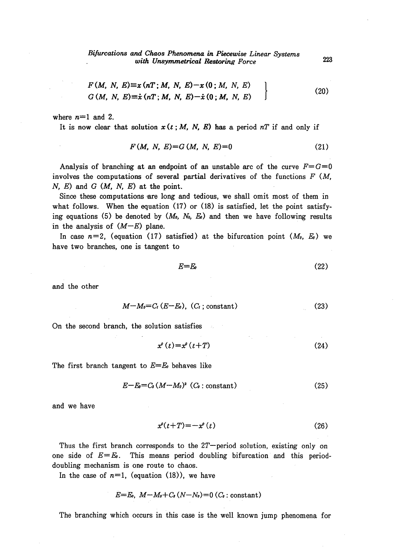$$
F(M, N, E) \equiv x (nT; M, N, E) - x (0; M, N, E)
$$
  
\n
$$
G(M, N, E) \equiv \dot{x} (nT; M, N, E) - \dot{x} (0; M, N, E)
$$
 (20)

where  $n=1$  and 2.

It is now clear that solution  $x(t;M, N, E)$  has a period nT if and only if

$$
F(M, N, E)=G(M, N, E)=0
$$
 (21)

Analysis of branching at an endpoint of an unstable arc of the curve  $F=G=0$ involves the computations of several partial derivatives of the functions  $F(M)$ ,  $N, E$ ) and  $G(M, N, E)$  at the point.

Since these computations are long and tedious, we shall omit most of them in what follows. When the equation  $(17)$  or  $(18)$  is satisfied, let the point satisfying equations (5) be denoted by  $(M_0, N_0, E_0)$  and then we have following results in the analysis of  $(M-E)$  plane.

In case  $n=2$ , (equation (17) satisfied) at the bifurcation point  $(M_0, E_0)$  we have two branches, one is tangent to

$$
E=E_0 \tag{22}
$$

and the other

$$
M-M_0=C_I(E-E_0), (C_I;\text{constant})
$$
\n(23)

On the second branch, the solution satisfies

$$
x^{\rho}(t) = x^{\rho}(t+T) \tag{24}
$$

The first branch tangent to  $E=E_0$  behaves like

$$
E-E_0=C_2\left(M-M_0\right)^2\left(C_2:\text{constant}\right)\tag{25}
$$

and we have

$$
x^{\rho}(t+T) = -x^{\rho}(t) \tag{26}
$$

Thus the first branch corresponds to the  $2T$ -period solution, existing only on one side of  $E=E$ . This means period doubling bifurcation and this perioddoubling mechanism is one route to chaos.

In the case of  $n=1$ , (equation (18)), we have

$$
E=E_0, M-M_0+C_3(N-N_0)=0 (C_3: constant)
$$

The branching which occurs in this case is the well known jump phenomena for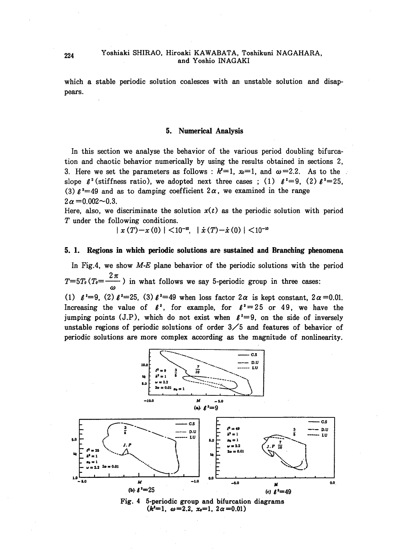#### Yoshiaki SHIRAO, Hiroaki KAWABATA, Toshikuni NAGAHARA, and Yoshio INAGAKI

which a stable periodic solution coalesces with an unstable solution and disappears.

#### 5. Numerical Analysis

In this section we analyse the behavior of the various period doubling bifurcation and chaotic behavior numerically by using the results obtained in sections 2. 3. Here we set the parameters as follows:  $k'=1$ ,  $\infty=1$ , and  $\omega=2.2$ . As to the slope  $\ell^2$  (stiffness ratio), we adopted next three cases ; (1)  $\ell^2=9$ , (2)  $\ell^2=25$ . (3)  $\ell^2$ =49 and as to damping coefficient  $2\alpha$ , we examined in the range  $2\alpha = 0.002 - 0.3$ .

Here, also, we discriminate the solution  $x(t)$  as the periodic solution with period T under the following conditions.

 $\vert x(T)-x(0)\vert \leq 10^{-10}, \vert \dot{x}(T)-\dot{x}(0)\vert \leq 10^{-10}$ 

#### 5. 1. Regions in which periodic solutions are sustained and Branching phenomena

In Fig.4, we show  $M-E$  plane behavior of the periodic solutions with the period  $T=5T_0(T_0=\frac{2\pi}{\pi})$  in what follows we say 5-periodic group in three cases: (1)  $\ell^2=9$ , (2)  $\ell^2=25$ , (3)  $\ell^2=49$  when loss factor  $2\alpha$  is kept constant,  $2\alpha=0.01$ . Increasing the value of  $\ell^2$ , for example, for  $\ell^2 = 25$  or 49, we have the jumping points (J.P), which do not exist when  $l^2=9$ , on the side of inversely unstable regions of periodic solutions of order  $3/5$  and features of behavior of periodic solutions are more complex according as the magnitude of nonlinearity.



Fig. 4 5-periodic group and bifurcation diagrams  $(k^2=1, \omega=2.2, x_0=1, 2\alpha=0.01)$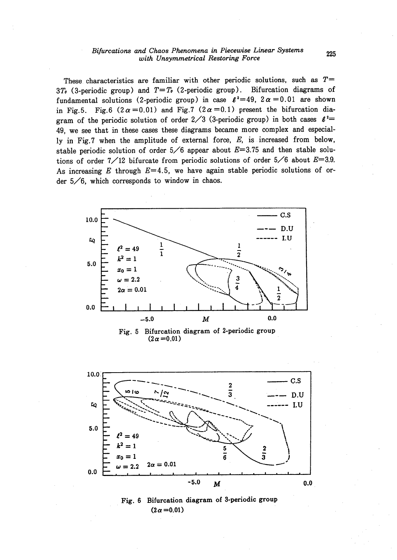#### Bifurcations and Chaos Phenomena in Piecewise Linear Systems with Unsymmetrical Restoring Force

These characteristics are familiar with other periodic solutions, such as  $T=$ 3T<sub>0</sub> (3-periodic group) and  $T=T_0$  (2-periodic group). Bifurcation diagrams of fundamental solutions (2-periodic group) in case  $\ell^2 = 49$ ,  $2\alpha = 0.01$  are shown in Fig.5. Fig.6 (2 $\alpha$  = 0.01) and Fig.7 (2 $\alpha$  = 0.1) present the bifurcation diagram of the periodic solution of order 2/3 (3-periodic group) in both cases  $\ell^2$ 49, we see that in these cases these diagrams became more complex and especially in Fig.7 when the amplitude of external force,  $E$ , is increased from below, stable periodic solution of order  $5/6$  appear about  $E=3.75$  and then stable solutions of order  $7/12$  bifurcate from periodic solutions of order  $5/6$  about  $E=3.9$ . As increasing E through  $E=4.5$ , we have again stable periodic solutions of order  $5/6$ , which corresponds to window in chaos.



Fig. 5 Bifurcation diagram of 2-periodic group  $(2\alpha = 0.01)$ 



Fig. 6 Bifurcation diagram of 3-periodic group  $(2\alpha = 0.01)$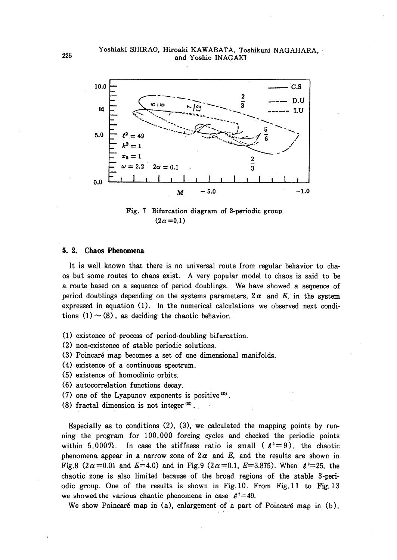

Fig. 7 Bifurcation diagram of 3-periodic group  $(2\alpha = 0.1)$ 

#### 5. 2. Chaos Phenomena

It is well known that there is no universal route from regular behavior to chaos but some routes to chaos exist. A very popular model to chaos is said to be a route based on a sequence of period doublings. We have showed a sequence of period doublings depending on the systems parameters,  $2\alpha$  and E, in the system expressed in equation (1). In the numerical calculations we observed next conditions  $(1) \sim (8)$ , as deciding the chaotic behavior.

- (1) existence of process of period-doubling bifurcation.
- (2) non-existence of stable periodic solutions.
- (3) Poincaré map becomes a set of one dimensional manifolds.
- (4) existence of a continuous spectrum.
- (5) existence of homoclinic orbits.
- (6) autocorrelation functions decay.
- (7) one of the Lyapunov exponents is positive  $(20)$ .
- (8) fractal dimension is not integer  $(20)$ .

Especially as to conditions  $(2)$ ,  $(3)$ , we calculated the mapping points by running the program for 100,000 forcing cycles and checked the periodic points within 5,000T. In case the stiffness ratio is small ( $\ell^2 = 9$ ), the chaotic phenomena appear in a narrow zone of  $2\alpha$  and E, and the results are shown in Fig.8 ( $2\alpha$  = 0.01 and E=4.0) and in Fig.9 ( $2\alpha$  = 0.1, E=3.875). When  $\ell^2$ =25, the chaotic zone is also limited because of the broad regions of the stable 3-periodic group. One of the results is shown in Fig.10. From Fig.11 to Fig.13 we showed the various chaotic phenomena in case  $\ell^2 = 49$ .

We show Poincaré map in (a), enlargement of a part of Poincaré map in (b),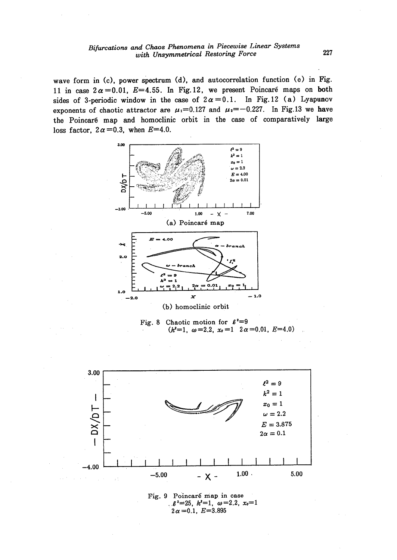wave form in (c), power spectrum (d), and autocorrelation function (e) in Fig. 11 in case  $2\alpha = 0.01$ ,  $E = 4.55$ . In Fig. 12, we present Poincaré maps on both sides of 3-periodic window in the case of  $2\alpha = 0.1$ . In Fig. 12 (a) Lyapunov exponents of chaotic attractor are  $\mu_1=0.127$  and  $\mu_2=-0.227$ . In Fig.13 we have the Poincaré map and homoclinic orbit in the case of comparatively large loss factor,  $2\alpha = 0.3$ , when  $E=4.0$ .



Fig. 8 Chaotic motion for  $\ell^2=9$  $(k^2=1, \omega=2.2, x_0=1 \ 2\alpha=0.01, E=4.0)$ 



 $\ell^2 = 25$ ,  $k^2 = 1$ ,  $\omega = 2.2$ ,  $x_0 = 1$  $2\alpha = 0.1$ ,  $E = 3.895$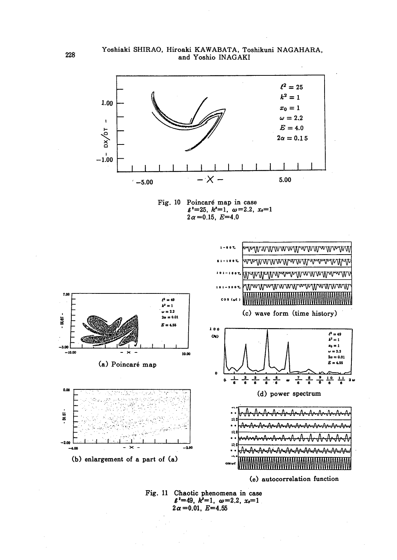

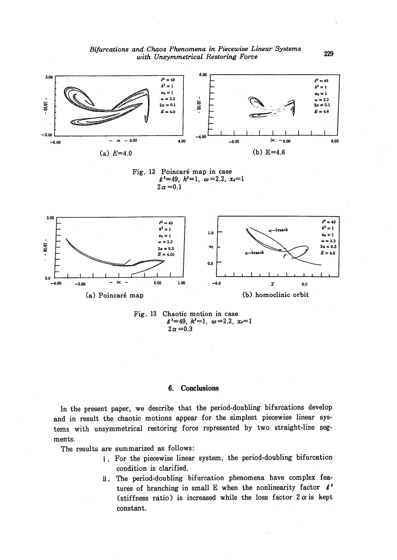



#### Conclusions 6.

In the present paper, we describe that the period-doubling bifurcations develop and in result the chaotic motions appear for the simplest piecewise linear systems with unsymmetrical restoring force represented by two straight-line segments.

The results are summarized as follows:

- i. For the piecewise linear system, the period-doubling bifurcation condition is clarified.
- ii. The period-doubling bifurcation phenomena have complex features of branching in small E when the nonlinearity factor  $l^2$ (stiffness ratio) is increased while the loss factor  $2\alpha$  is kept constant.

229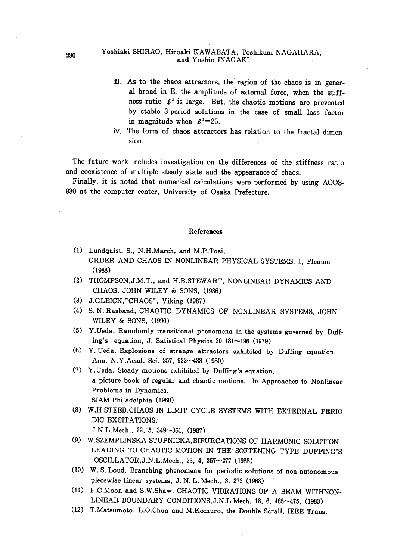#### <sup>230</sup> Yoshiaki SHIRAO, Hiroaki KAWABATA, Toshikuni NAGAHARA, and Yoshio INAGAKI

- iii. As to the chaos attractors, the region of the chaos is in general broad in E, the amplitude of external force, when the stiffness ratio  $\ell^2$  is large. But, the chaotic motions are prevented by stable 3-period solutions in the case of smal1 loss factor in magnitude when  $\ell^2=25$ .
- iv. The form of chaos attractors has relation to the fractal dimen sion.

 The future work includes investigation on the differences of the stiffness ratio and coexistence of multiple steady state and the appearance of chaos.

 Finally, it is noted that numerical calculations were performed by using ACOS-930 at the computer center, University of Osaka Prefecture.

#### References

- (1) Lundquist, S., N.H.March, and M.P.Tosi, ORDER AND CHAOS IN NONLINEAR PHYSICAL SYSTEMS, 1, Plenum  $(1988)$
- (2) THOMPSON,J.M.T., and H.B.STEWART, NONLINEAR DYNAMICS AND CHAOS, JOHN WILEY & SONS, (1986)
- (3) J.GLEICK,"CHAOS", Viking (1987)
- (4) S.N.Rasband, CHAOTIC DYNAMICS OF NONLINEAR SYSTEMS, JOHN WILEY & SONS, (1990)
- (5) Y.Ueda, Ramdomly transitional phenomena in the systems governed by Duff ing's equation, J. Satistical Physics 20  $181 \sim 196$  (1979)
- (6) Y.Ueda, E.xplosions of strange attractors exhibited by Duffing equation, Ann. N.Y.Acad. Sci. 357, 922~433 (1980)
- (7) Y.Ueda, Steady motions exhibited by Duffing's equation, a picture book of regular and chaotic motions. In Approaches to Nonlinear Problems in Dynamics. SIAM, Philadelphia (1980)
- (8) W.H.STEEB,CHAOS IN LIMIT CYCLE SYSTEMS WITH EXTERNAL PERIO DIC EXCITATIONS,

J.N.L.Mech., 22, 5, 349~361, (1987)

- (9) W.SZEMPLINSKA-STUPNICKA,BIFURCATIONS OF HARMONIC SOLUTION LEADING TO CHAOTIC MOTION IN THE- SOFTENING TYPE DUFFING'S OSCILLATOR, J.N.L.Mech., 23, 4, 257~277 (1988)
- (10) W. S. Loud, Branching phenomena for periodic solutions of non-autonomous piecewise linear systems, J.N.L. Mech., 3, 273 (1968)
- (11) F.C.Moon and S.W.Shaw, CHAOTIC VIBRATIONS OF A BEAM WITHNON- LINEAR BOUNDARY CONDITIONS,J.N.L.Mech. 18, 6, 465--475, (1983)
- (12) T.Matsumoto, L.O.Chua and M.Komuro, the Double Scrall, IEEE Trans.